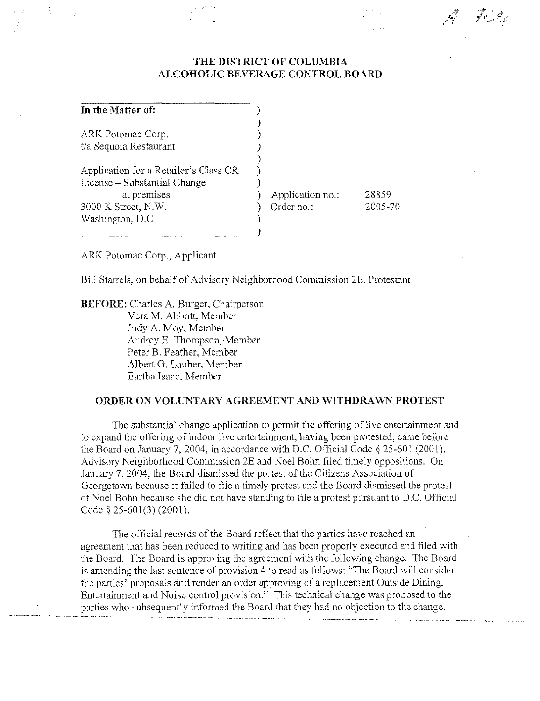## **THE DISTRICT OF COLUMBIA ALCOHOLIC BEVERAGE CONTROL BOARD**

) ) ) ) ) ) )

)

### **In the Matter of:**

Â

ARK Potomac Corp, t/a Sequoia Restaurant

Application for a Retailer's Class CR License - Substantial Change at premises 3000 K Street, N,W, Washington, D,C

) Application no,: ) Order no,: 28859 2005-70 A – File

ARK Potomac Corp., Applicant

Bill Starrels, on behalf of Advisory Neighborhood Commission 2E, Protestant

**BEFORE:** Charles A, Burger, Chairperson

 $\frac{1}{\sqrt{1-\frac{1}{2}}}\left(\frac{1}{\sqrt{1-\frac{1}{2}}}\right)$ 

Vera M, Abbott, Member Judy A, Moy, Member Audrey E, Thompson, Member Peter B, Feather, Member Albert G, Lauber, Member Eartha Isaac, Member

#### **ORDER ON VOLUNTARY AGREEMENT AND WITHDRAWN PROTEST**

The substantial change application to permit the offering of live entertainment and to expand the offering of indoor live entertainment, having been protested, came before the Board on January 7, 2004, in accordance with D,C, Official Code § 25-601 (2001), Advisory Neighborhood Commission 2E and Noel Bolm filed timely oppositions, On January 7,2004, the Board dismissed the protest of the Citizens Association of Georgetown because it failed to file a timely protest and the Board dismissed the protest of Noel Bolm because she did not have standing to file a protest pursuant to D,C, Official Code § 25-601(3) (2001),

The official records of the Board reflect that the parties have reached an agreement that has been reduced to writing and has been properly executed and filed with the Board, The Board is approving the agreement with the following change, The Board is amending the last sentence of provision 4 to read as follows: "The Board will consider the parties' proposals and render an order approving of a replacement Outside Dining, Entertainment and Noise control provision," This technical change was proposed to the parties who subsequently informed the Board that they had no objection to the change.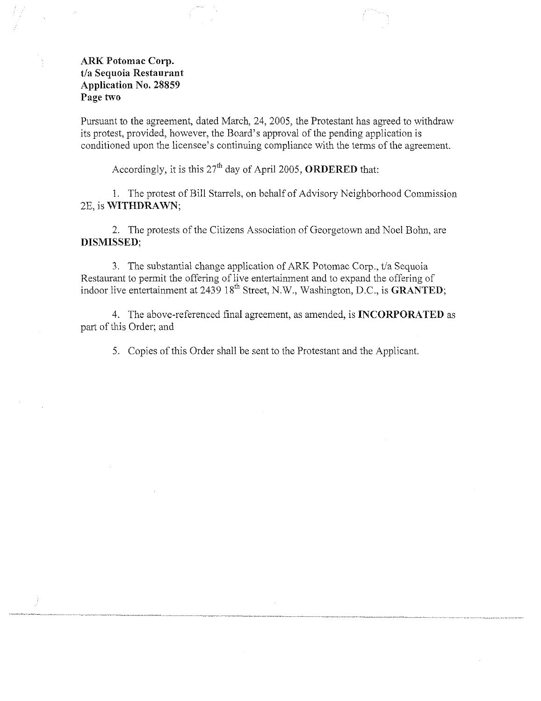### ARK Potomac Corp. t/a Sequoia Restaurant Application No. 28859 Page two

Pursuant to the agreement, dated March, 24, 2005, the Protestant has agreed to withdraw its protest, provided, however, the Board's approval of the pending application is conditioned upon the licensee's continuing compliance with the terms of the agreement.

Accordingly, it is this  $27<sup>th</sup>$  day of April 2005, ORDERED that:

1. The protest of Bill Starrels, on behalf of Advisory Neighborhood Commission 2E, is WITHDRAWN;

2. The protests of the Citizens Association of Georgetown and Noel Bohn, are DISMISSED;

3. The substantial change application of ARK Potomac Corp., *t/a* Sequoia Restaurant to permit the offering of live entertainment and to expand the offering of indoor live entertainment at 2439 18<sup>th</sup> Street, N.W., Washington, D.C., is GRANTED;

4. The above-referenced final agreement, as amended, is **INCORPORATED** as part of this Order; and

5. Copies of this Order shall be sent to the Protestant and the Applicant.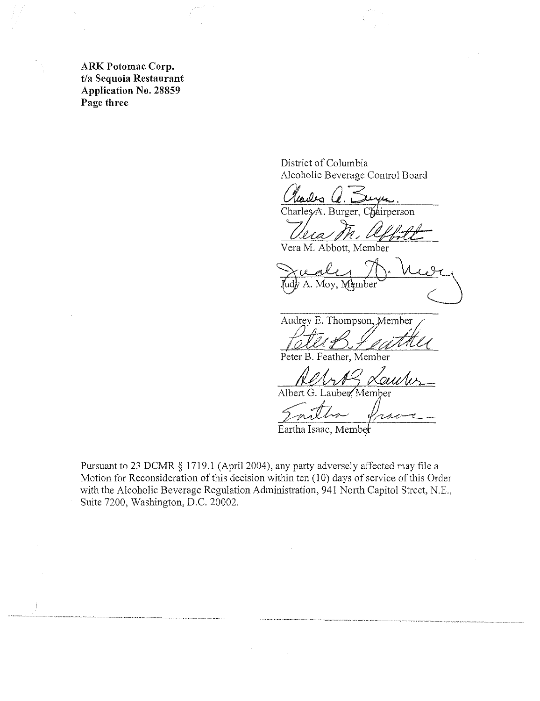ARK Potomac Corp. t/a Sequoia Restaurant Application No. 28859 Page three

Ĵ

District of Columbia Alcoholic Beverage Control Board

<u>Clarles C. Seyn.</u><br>Charles A. Burger, Chairperson

Vera M. affolk

Vera M. Abbott, Member

Fucale M. Vier

Audrey E. Thompson,

Peter B. Feather, Member

ouvu Albert G. Lauber, Member

مصري سنتجرس

Eartha Isaac, Memb

Pursuant to 23 DCMR § 1719.1 (April 2004), any party adversely affected may file a Motion for Reconsideration of this decision within ten (10) days of service of this Order with the Alcoholic Beverage Regulation Administration, 941 North Capitol Street, N.E., Suite 7200, Washington, D.C. 20002.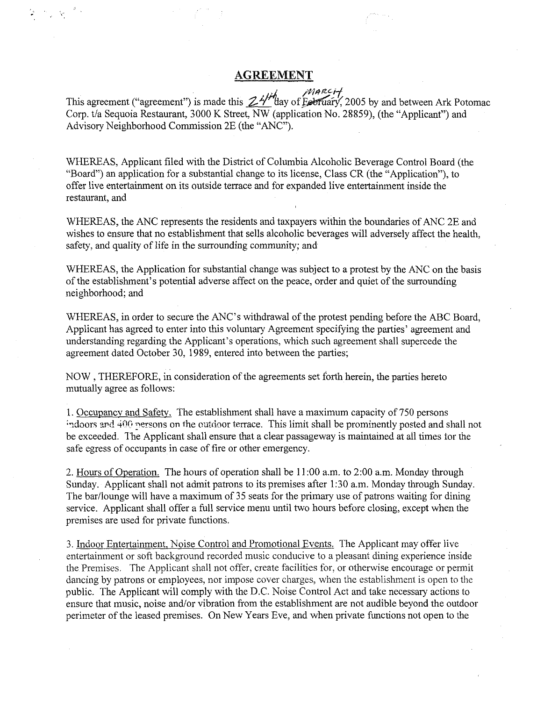### **AGREEMENT**

 $M$ ARCit This agreement ("agreement") is made this  $ZH''$ day of Eebruary, 2005 by and between Ark Potomac Corp, t/a Sequoia Restaurant, 3000 K Street, NW (application No, 28859), (the "Applicant") and Advisory Neighborhood Commission 2E (the "ANC"),

WHEREAS, Applicant filed with the District of Columbia Alcoholic Beverage Control Board (the "Board") an application for a substantial change to its license, Class CR (the "Application"), to offer live entertainment on its outside terrace and for expanded live entertainment inside the restaurant, and

WHEREAS, the ANC represents the residents and taxpayers within the boundaries of ANC 2E and wishes to ensure that no establishment that sells alcoholic beverages will adversely affect the health, safety, and quality of life in the surrounding community; and

WHEREAS, the Application for substantial change was subject to a protest by the ANC on the basis of the establishment's potential adverse affect on the peace, order and quiet of the surrounding neighborhood; and

WHEREAS, in order to secure the ANC's withdrawal of the protest pending before the ABC Board, Applicant has agreed to enter into this voluntary Agreement specifying the parties' agreement and understanding regarding the Applicant's operations, which such agreement shall supercede the agreement dated October 30, 1989, entered into between the parties;

NOW, THEREFORE, in consideration of the agreements set forth herein, the parties hereto mutually agree as follows:

1. Occupancy and Safety. The establishment shall have a maximum capacity of 750 persons indoors and 400 persons on the outdoor terrace. This limit shall be prominently posted and shall not be exceeded. The Applicant shall ensure that a clear passageway is maintained at all times tor the safe egress of occupants in case of fire or other emergency,

2, Hours of Operation, The hours of operation shall be 11 :00 a,m. to 2:00 a,m, Monday through Sunday. Applicant shall not admit patrons to its premises after 1:30 a.m, Monday through Sunday. The bar/lounge will have a maximum of 35 seats for the primary use of patrons waiting for dining service, Applicant shall offer a full service menu until two hours before closing, except when the premises are used for private functions.

3. Indoor Entertainment, Noise Control and Promotional Events, The Applicant may offer live entertainment or soft background recorded music conducive to a pleasant dining experience inside the Premises. The Applicant shall not offer, create facilities for, or otherwise encourage or permit dancing by patrons or employees, nor impose cover charges, when the establishment is open to the public. The Applicant will comply with the D,C. Noise Control Act and take necessary actions to ensure that music, noise and/or vibration from the establishment are not audible beyond the outdoor perimeter of the leased premises, On New Years Eve, and when private functions not open to the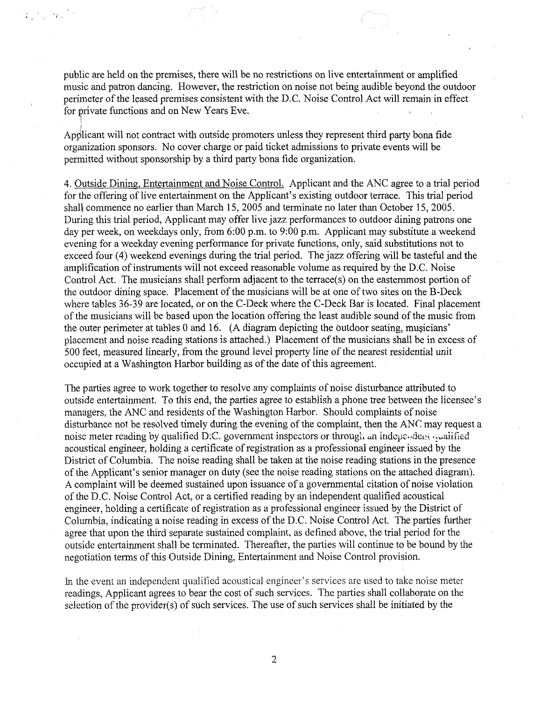public are held on the premises, there will be no restrictions on live entertainment or amplified music and patron dancing. However, the restriction on noise not being audible beyond the outdoor perimeter of the leased premises consistent with the D.C. Noise Control Act will remain in effect for private functions and on New Years Eve.

Applicant will not contract with outside promoters unless they represent third party bona fide organization sponsors. No cover charge or paid ticket admissions to private events will be permitted without sponsorship by a third party bona fide organization.

!<br>! !

 $\mathcal{L}^{\text{max}}_{\text{max}}$ 

4. Outside Dining, Entertainment and Noise Contro!' Applicant and the ANC agree to a trial period for the offering of live entertainment on the Applicant's existing outdoor terrace. This trial period shall commence no earlier than March 15, 2005 and terminate no later than October 15, 2005. During this trial period, Applicant may offer live jazz performances to outdoor dining patrons one day per week, on weekdays only, from 6:00 p.m. to 9:00 p.m. Applicant may substitute a weekend evening for a weekday evening performance for private functions, only, said substitutions not to exceed four (4) weekend evenings during the trial period. The jazz offering will be tasteful and the amplification of instruments will not exceed reasonable volume as required by the D.C. Noise Control Act. The musicians shall perform adjacent to the terrace(s) on the easternmost portion of the outdoor dining space. Placement of the musicians will be at one of two sites on the B-Deck where tables 36-39 are located, or on the C-Deck where the C-Deck Bar is located. Final placement of the musicians will be based upon the location offering the least audible sound of the music from the outer perimeter at tables 0 and 16.  $(A$  diagram depicting the outdoor seating, musicians' placement and noise reading stations is attached.) Placement of the musicians shall be in excess of 500 feet, measured linearly, from the ground level property line of the nearest residential unit occupied at a Washington Harbor building as of the date of this agreement.

The parties agree to work together to resolve any complaints of noise disturbance attributed to outside entertainment. To this end, the parties agree to establish a phone tree between the licensee's managers, the ANC and residents of the Washington Harbor. Should complaints of noise disturbance not be resolved timely during the evening of the complaint, then the *ANC* may request a noise meter reading by qualified D:C. government inspectors or through an independent qualified acoustical engineer, holding a certificate of registration as a professional engineer issued by the District of Columbia. The noise reading shall be taken at the noise reading stations in the presence ofthe Applicant's senior manager on duty (see the noise reading stations on the attached diagram). A complaint will be deemed sustained upon issuance of a governmental citation of noise violation of the D.C. Noise Control Act, or a certified reading by an independent qualified acoustical engineer, holding a certificate of registration as a professional engineer issued by the District of Columbia, indicating a noise reading in excess of the D.C. Noise Control Act. The parties further agree that upon the third separate sustained complaint, as defined above, the trial period for the outside entertainment shall be terminated. Thereafter, the parties will continue to be bound by the negotiation terms of this Outside Dining, Entertainment and Noise Control provision.

In the event an independent qualified acoustical engineer's services are used to take noise meter readings, Applicant agrees to bear the cost of such services. The parties shall collaborate on the selection of the provider(s) of such services. The use of such services shall be initiated by the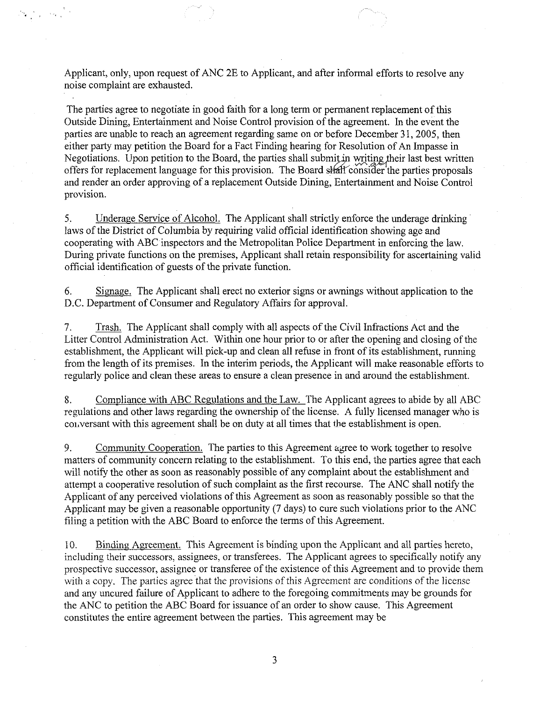Applicant, only, upon request of ANC 2E to Applicant, and after informal efforts to resolve any noise complaint are exhausted.

The parties agree to negotiate in good faith for a long term or permanent replacement of this Outside Dining, Entertainment and Noise Control provision of the agreement. **In** the event the parties are unable to reach an agreement regarding same on or before December 31, 2005, then either party may petition the Board for a Fact Finding hearing for Resolution of An Impasse in Negotiations. Upon petition to the Board, the parties shall submit in writing their last best written offers for replacement language for this provision. The Board shall consider the parties proposals and render an order approving of a replacement Outside Dining, Entertainment and Noise Control provision.

5. Underage Service of Alcohol. The Applicant shall strictly enforce the underage drinking laws of the District of Columbia by requiring valid official identification showing age and cooperating with ABC inspectors and the Metropolitan Police Department in enforcing the law. During private functions on the premises, Applicant shall retain responsibility for ascertaining valid official identification of guests of the private function.

6. Signage. The Applicant shall erect no exterior signs or awnings without application to the D.C. Department of Consumer and Regulatory Affairs for approval.

7. Trash. The Applicant shall comply with all aspects of the Civil Infractions Act and the Litter Control Administration Act. Within one hour prior to or after the opening and closing of the establishment, the Applicant will pick-up and clean all refuse in front of its establishment, running from the length of its premises. In the interim periods, the Applicant will make reasonable efforts to regularly police and clean these areas to ensure a clean presence in and around the establishment.

8. Compliance with ABC Regulations and the Law. The Applicant agrees to abide by all ABC regulations and other laws regarding the ownership of the license. A fully licensed manager *who* is COl,versant with this agreement shall be on duty at all times that the establishment is open.

9. Community Cooperation. The parties to this Agreement agree to work together to resolve matters of community concern relating to the establishment. To this end, the patties agree that each will notify the other as soon as reasonably possible of any complaint about the establishment and attempt a cooperative resolution of such complaint as the first recourse. The ANC shall notify the Applicant of any perceived violations of this Agreement as soon as reasonably possible so that the Applicant may be given a reasonable opportunity (7 days) to cure such violations prior to the ANC filing a petition with the ABC Board to enforce the terms of this Agreement.

10. Binding Agreement. This Agreement is binding upon the Applicant and all parties hereto, including their successors, assignees, or transferees. The Applicant agrees to specifically notify any prospective successor, assignee or transferee of the existence of this Agreement and to provide them with a copy. The parties agree that the provisions of this Agreement are conditions of the license and any uncured failure of Applicant to adhere to the foregoing commitments may be grounds for the ANC to petition the ABC Board for issuance of an order to show cause. This Agreement constitutes the entire agreement between the parties. This agreement may be

3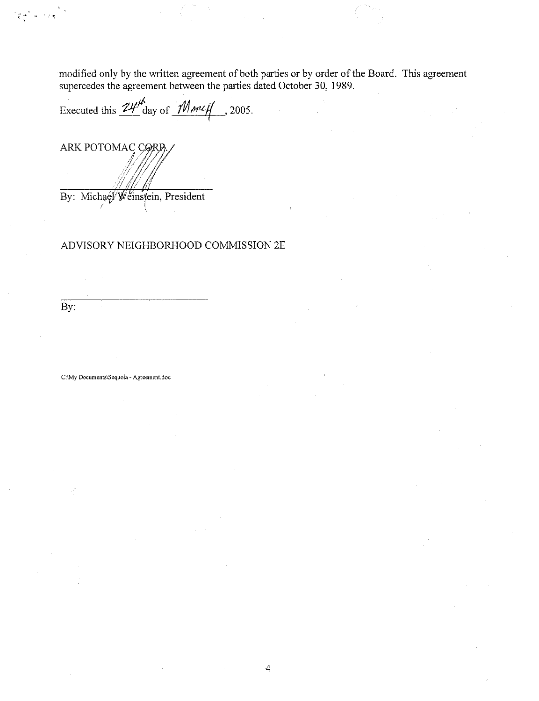modified only by the written agreement of both parties or by order of the Board. This agreement supercedes the agreement between the parties dated October 30, 1989.

Executed this  $24\frac{M}{\text{day of}} \frac{M}{M}$  , 2005.

ARK POTOMAC CORD

By: Michael Weinstein, President

# ADVISORY NEIGHBORHOOD COMMISSION 2E

 $\overline{By}$ :

្តែង<br>ខៀត ខែ**ត្** 

C:\My Documents\Sequoia - Agreement.doc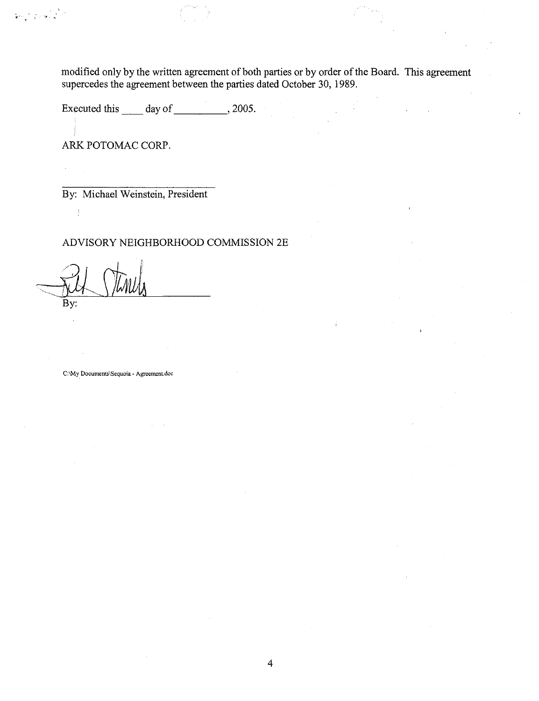modified only by the written agreement of both parties or by order of the Board. This agreement supercedes the agreement between the parties dated October 30, 1989.

Executed this \_\_\_\_ day of \_\_\_\_\_\_\_\_\_\_, 2005.

ARK POTOMAC CORP.

ย่าง 10 ตัว

By: Michael Weinstein, President

ADVISORY NEIGHBORHOOD COMMISSION 2E

By:

 $\frac{1}{2}$ 

C:\My **Documents\Sequoia. Agreement-doc**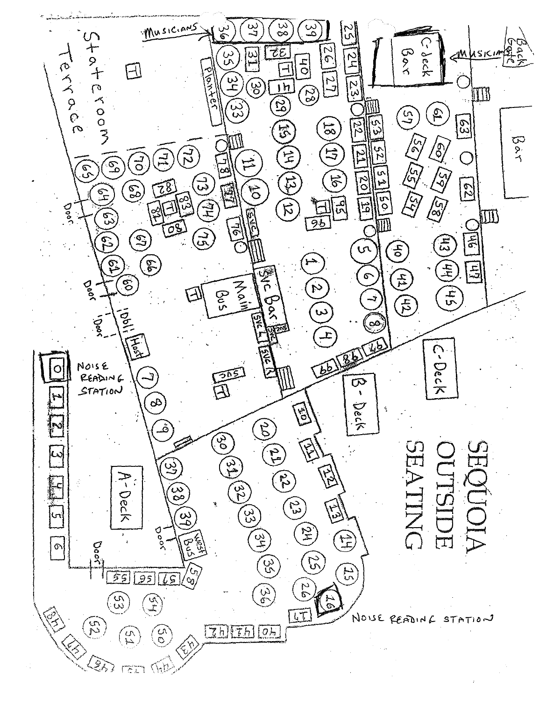